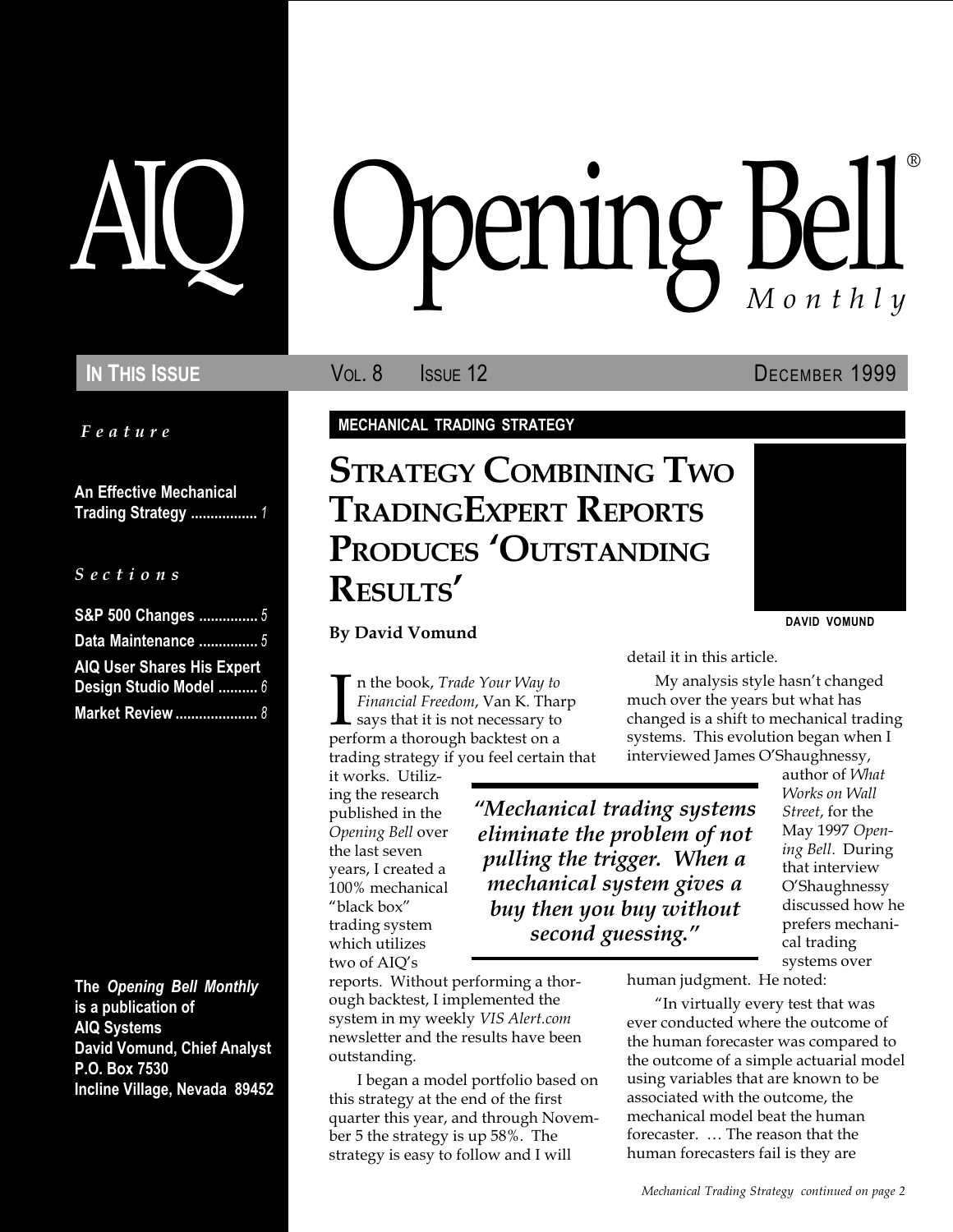Feature

An Effective Mechanical Trading Strategy ................. 1

S e c t i o n s

| S&P 500 Changes  5                |  |
|-----------------------------------|--|
| Data Maintenance  5               |  |
| <b>AIQ User Shares His Expert</b> |  |
| Design Studio Model  6            |  |
| <b>Market Review </b> 8           |  |

The Opening Bell Monthly is a publication of AIQ Systems David Vomund, Chief Analyst P.O. Box 7530 Incline Village, Nevada 89452

# pening Bell ®

In This Issue **Vol. 8** Issue 12 December 1999

MECHANICAL TRADING STRATEGY

# STRATEGY COMBINING TWO TRADINGEXPERT REPORTS PRODUCES 'OUTSTANDING RESULTS

#### By David Vomund

In the book, *Trade Your Way to*<br>Financial Freedom, Van K. Tha<br>says that it is not necessary to<br>perform a thorough backtest on a n the book, Trade Your Way to Financial Freedom, Van K. Tharp says that it is not necessary to trading strategy if you feel certain that

it works. Utilizing the research published in the Opening Bell over the last seven years, I created a 100% mechanical "black box" trading system which utilizes two of AIQ's

second guessing."

reports. Without performing a thorough backtest, I implemented the system in my weekly VIS Alert.com newsletter and the results have been outstanding.

I began a model portfolio based on this strategy at the end of the first quarter this year, and through November 5 the strategy is up 58%. The strategy is easy to follow and I will

detail it in this article.

My analysis style hasn't changed much over the years but what has changed is a shift to mechanical trading systems. This evolution began when I interviewed James O'Shaughnessy,

Mechanical trading systems eliminate the problem of not pulling the trigger. When a mechanical system gives a buy then you buy without

Street, for the May 1997 Opening Bell. During that interview O'Shaughnessy discussed how he prefers mechanical trading systems over

author of What Works on Wall

DAVID VOMUND

human judgment. He noted:

"In virtually every test that was ever conducted where the outcome of the human forecaster was compared to the outcome of a simple actuarial model using variables that are known to be associated with the outcome, the mechanical model beat the human forecaster. ... The reason that the human forecasters fail is they are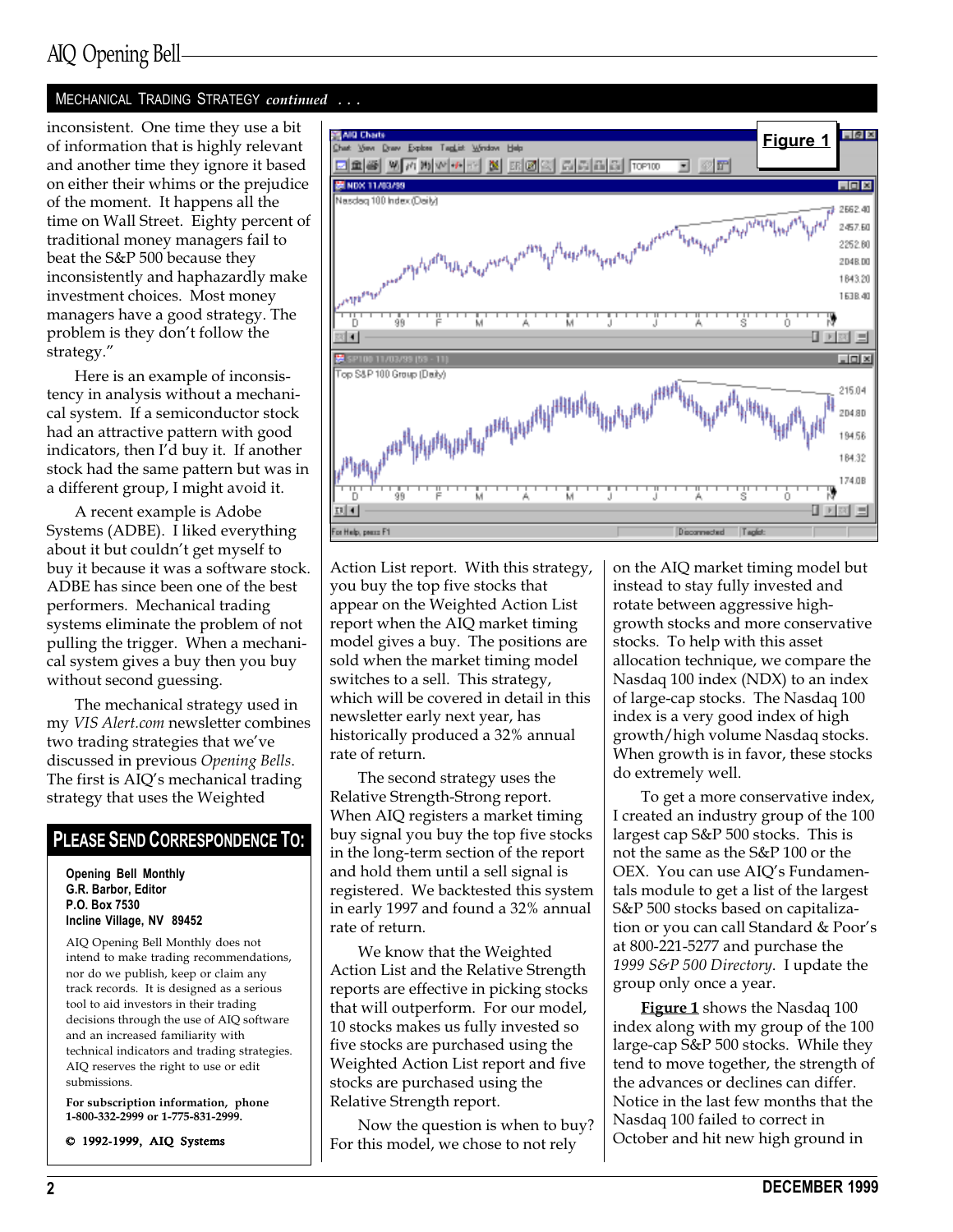## AIQ Opening Bell

#### MECHANICAL TRADING STRATEGY continued ...

inconsistent. One time they use a bit of information that is highly relevant and another time they ignore it based on either their whims or the prejudice of the moment. It happens all the time on Wall Street. Eighty percent of traditional money managers fail to beat the S&P 500 because they inconsistently and haphazardly make investment choices. Most money managers have a good strategy. The problem is they don't follow the strategy.

Here is an example of inconsistency in analysis without a mechanical system. If a semiconductor stock had an attractive pattern with good indicators, then I'd buy it. If another stock had the same pattern but was in a different group, I might avoid it.

A recent example is Adobe Systems (ADBE). I liked everything about it but couldn't get myself to buy it because it was a software stock. ADBE has since been one of the best performers. Mechanical trading systems eliminate the problem of not pulling the trigger. When a mechanical system gives a buy then you buy without second guessing.

The mechanical strategy used in my VIS Alert.com newsletter combines two trading strategies that we've discussed in previous Opening Bells. The first is AIQ's mechanical trading strategy that uses the Weighted

#### PLEASE SEND CORRESPONDENCE TO:

Opening Bell Monthly G.R. Barbor, Editor P.O. Box 7530 Incline Village, NV 89452

AIQ Opening Bell Monthly does not intend to make trading recommendations, nor do we publish, keep or claim any track records. It is designed as a serious tool to aid investors in their trading decisions through the use of AIQ software and an increased familiarity with technical indicators and trading strategies. AIQ reserves the right to use or edit submissions.

For subscription information, phone 1-800-332-2999 or 1-775-831-2999.

© 1992-1999, AIQ Systems



Action List report. With this strategy, you buy the top five stocks that appear on the Weighted Action List report when the AIQ market timing model gives a buy. The positions are sold when the market timing model switches to a sell. This strategy, which will be covered in detail in this newsletter early next year, has historically produced a 32% annual rate of return.

The second strategy uses the Relative Strength-Strong report. When AIQ registers a market timing buy signal you buy the top five stocks in the long-term section of the report and hold them until a sell signal is registered. We backtested this system in early 1997 and found a 32% annual rate of return.

We know that the Weighted Action List and the Relative Strength reports are effective in picking stocks that will outperform. For our model, 10 stocks makes us fully invested so five stocks are purchased using the Weighted Action List report and five stocks are purchased using the Relative Strength report.

Now the question is when to buy? For this model, we chose to not rely

on the AIQ market timing model but instead to stay fully invested and rotate between aggressive highgrowth stocks and more conservative stocks. To help with this asset allocation technique, we compare the Nasdaq 100 index (NDX) to an index of large-cap stocks. The Nasdaq 100 index is a very good index of high growth/high volume Nasdaq stocks. When growth is in favor, these stocks do extremely well.

To get a more conservative index, I created an industry group of the 100 largest cap S&P 500 stocks. This is not the same as the S&P 100 or the OEX. You can use AIQ's Fundamentals module to get a list of the largest S&P 500 stocks based on capitalization or you can call Standard & Poor's at 800-221-5277 and purchase the 1999 S&P 500 Directory. I update the group only once a year.

Figure 1 shows the Nasdaq 100 index along with my group of the 100 large-cap S&P 500 stocks. While they tend to move together, the strength of the advances or declines can differ. Notice in the last few months that the Nasdaq 100 failed to correct in October and hit new high ground in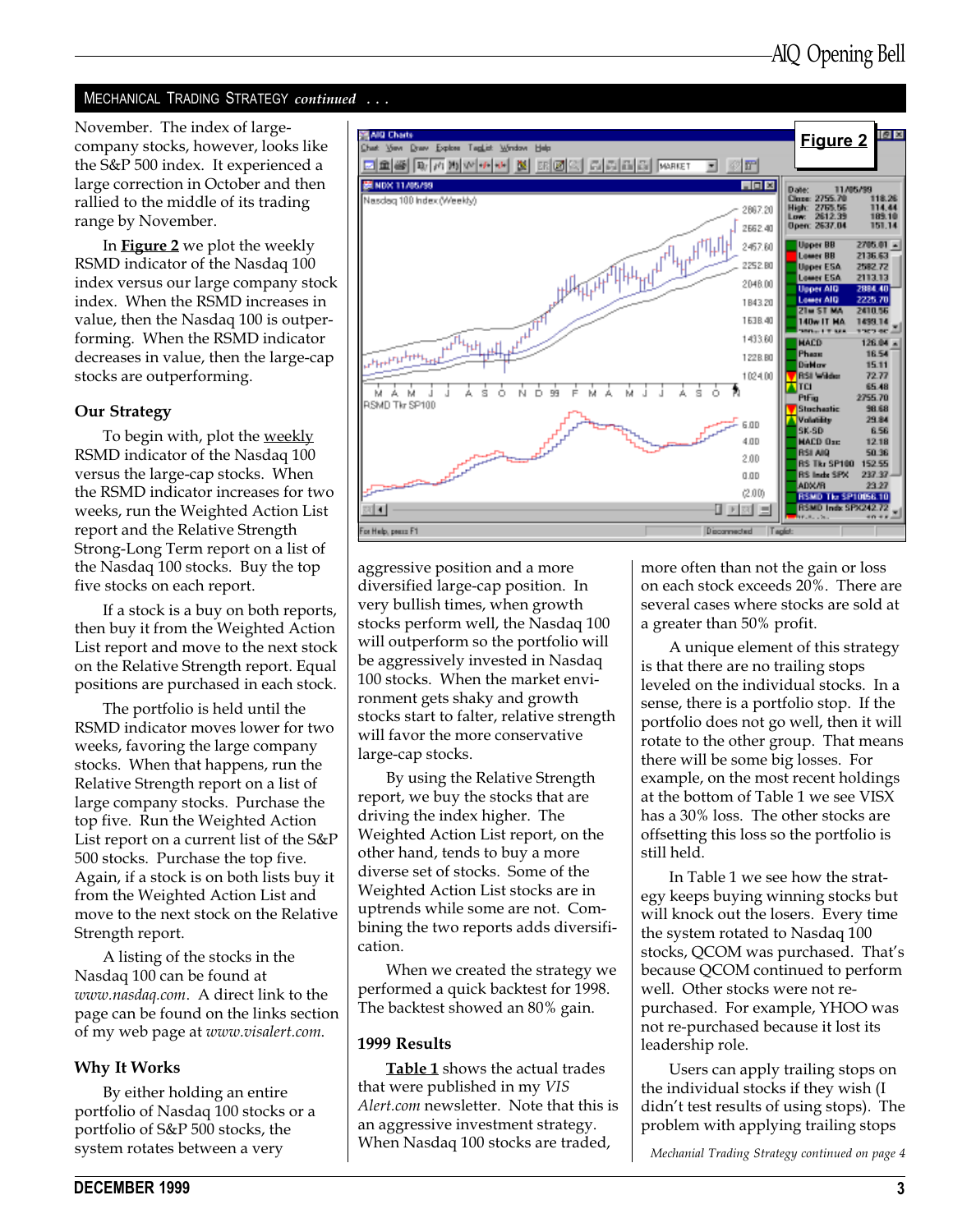#### MECHANICAL TRADING STRATEGY continued ...

the S&P 500 index. It experienced a large correction in October and then rallied to the middle of its trading range by November.

In **Figure 2** we plot the weekly RSMD indicator of the Nasdaq 100 index versus our large company stock index. When the RSMD increases in value, then the Nasdaq 100 is outperforming. When the RSMD indicator decreases in value, then the large-cap stocks are outperforming.

#### Our Strategy

To begin with, plot the weekly RSMD indicator of the Nasdaq 100 versus the large-cap stocks. When the RSMD indicator increases for two weeks, run the Weighted Action List report and the Relative Strength Strong-Long Term report on a list of the Nasdaq 100 stocks. Buy the top five stocks on each report.

If a stock is a buy on both reports, then buy it from the Weighted Action List report and move to the next stock on the Relative Strength report. Equal positions are purchased in each stock.

The portfolio is held until the RSMD indicator moves lower for two weeks, favoring the large company stocks. When that happens, run the Relative Strength report on a list of large company stocks. Purchase the top five. Run the Weighted Action List report on a current list of the S&P 500 stocks. Purchase the top five. Again, if a stock is on both lists buy it from the Weighted Action List and move to the next stock on the Relative Strength report.

A listing of the stocks in the Nasdaq 100 can be found at www.nasdaq.com. A direct link to the page can be found on the links section of my web page at www.visalert.com.

#### Why It Works

By either holding an entire portfolio of Nasdaq 100 stocks or a portfolio of S&P 500 stocks, the system rotates between a very



aggressive position and a more diversified large-cap position. In very bullish times, when growth stocks perform well, the Nasdaq 100 will outperform so the portfolio will be aggressively invested in Nasdaq 100 stocks. When the market environment gets shaky and growth stocks start to falter, relative strength will favor the more conservative large-cap stocks.

By using the Relative Strength report, we buy the stocks that are driving the index higher. The Weighted Action List report, on the other hand, tends to buy a more diverse set of stocks. Some of the Weighted Action List stocks are in uptrends while some are not. Combining the two reports adds diversification.

When we created the strategy we performed a quick backtest for 1998. The backtest showed an 80% gain.

#### 1999 Results

Table 1 shows the actual trades that were published in my VIS Alert.com newsletter. Note that this is an aggressive investment strategy. When Nasdaq 100 stocks are traded,

more often than not the gain or loss on each stock exceeds 20%. There are several cases where stocks are sold at a greater than 50% profit.

A unique element of this strategy is that there are no trailing stops leveled on the individual stocks. In a sense, there is a portfolio stop. If the portfolio does not go well, then it will rotate to the other group. That means there will be some big losses. For example, on the most recent holdings at the bottom of Table 1 we see VISX has a 30% loss. The other stocks are offsetting this loss so the portfolio is still held.

In Table 1 we see how the strategy keeps buying winning stocks but will knock out the losers. Every time the system rotated to Nasdaq 100 stocks, QCOM was purchased. That's because QCOM continued to perform well. Other stocks were not repurchased. For example, YHOO was not re-purchased because it lost its leadership role.

Users can apply trailing stops on the individual stocks if they wish (I didn't test results of using stops). The problem with applying trailing stops

Mechanial Trading Strategy continued on page 4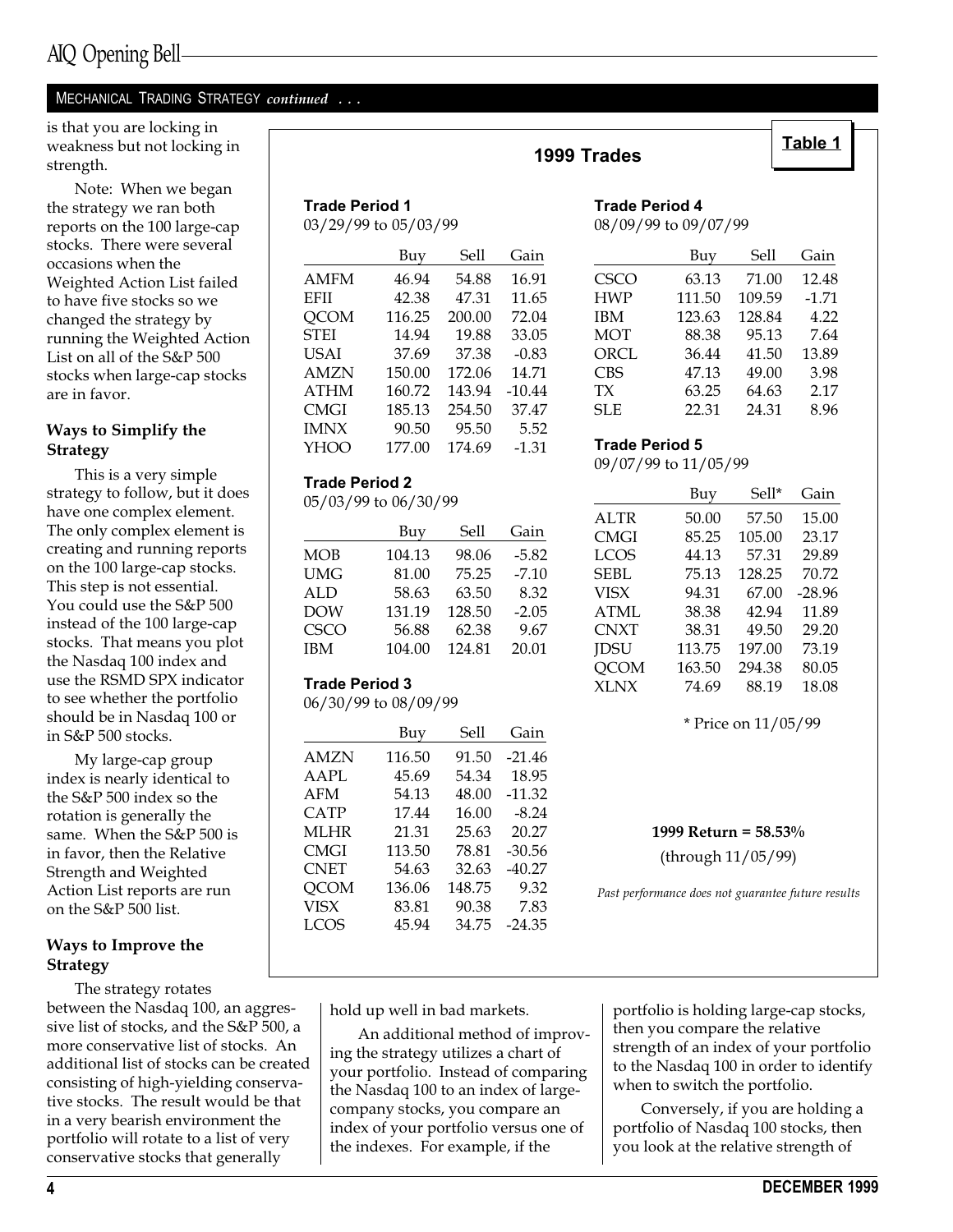#### MECHANICAL TRADING STRATEGY continued ...

is that you are locking in <br>weakness but not locking in Table 1 strength.

Note: When we began the strategy we ran both reports on the 100 large-cap stocks. There were several occasions when the Weighted Action List failed to have five stocks so we changed the strategy by running the Weighted Action List on all of the S&P 500 stocks when large-cap stocks are in favor.

#### Ways to Simplify the Strategy

This is a very simple strategy to follow, but it does have one complex element. The only complex element is creating and running reports on the 100 large-cap stocks. This step is not essential. You could use the S&P 500 instead of the 100 large-cap stocks. That means you plot the Nasdaq 100 index and use the RSMD SPX indicator to see whether the portfolio should be in Nasdaq 100 or in S&P 500 stocks.

My large-cap group index is nearly identical to the S&P 500 index so the rotation is generally the same. When the S&P 500 is in favor, then the Relative Strength and Weighted Action List reports are run on the S&P 500 list.

#### Ways to Improve the **Strategy**

The strategy rotates between the Nasdaq 100, an aggressive list of stocks, and the S&P 500, a more conservative list of stocks. An additional list of stocks can be created consisting of high-yielding conservative stocks. The result would be that in a very bearish environment the portfolio will rotate to a list of very conservative stocks that generally

| <b>Trade Period 1</b> |  |  |
|-----------------------|--|--|
| 03/29/99 to 05/03/99  |  |  |
|                       |  |  |

|             | Buy    | Sell   | Gain     |
|-------------|--------|--------|----------|
| <b>AMFM</b> | 46.94  | 54.88  | 16.91    |
| <b>EFII</b> | 42.38  | 47.31  | 11.65    |
| <b>QCOM</b> | 116.25 | 200.00 | 72.04    |
| <b>STEI</b> | 14.94  | 19.88  | 33.05    |
| <b>USAI</b> | 37.69  | 37.38  | $-0.83$  |
| <b>AMZN</b> | 150.00 | 172.06 | 14.71    |
| <b>ATHM</b> | 160.72 | 143.94 | $-10.44$ |
| CMGI        | 185.13 | 254.50 | 37.47    |
| <b>IMNX</b> | 90.50  | 95.50  | 5.52     |
| YHOO        | 177.00 | 174.69 | $-1.31$  |
|             |        |        |          |

#### Trade Period 2

05/03/99 to 06/30/99

|            | Buy    | Sell   | Gain    |
|------------|--------|--------|---------|
| MOB        | 104.13 | 98.06  | $-5.82$ |
| UMG        | 81.00  | 75.25  | $-7.10$ |
| <b>ALD</b> | 58.63  | 63.50  | 8.32    |
| <b>DOW</b> | 131.19 | 128.50 | $-2.05$ |
| CSCO       | 56.88  | 62.38  | 9.67    |
| <b>IBM</b> | 104.00 | 124.81 | 20.01   |
|            |        |        |         |

#### Trade Period 3

06/30/99 to 08/09/99

|             | Buy    | Sell   | Gain     |
|-------------|--------|--------|----------|
| AMZN        | 116.50 | 91.50  | $-21.46$ |
| <b>AAPL</b> | 45.69  | 54.34  | 18.95    |
| AFM         | 54.13  | 48.00  | $-11.32$ |
| <b>CATP</b> | 17.44  | 16.00  | $-8.24$  |
| MLHR        | 21.31  | 25.63  | 20.27    |
| <b>CMGI</b> | 113.50 | 78.81  | $-30.56$ |
| <b>CNET</b> | 54.63  | 32.63  | $-40.27$ |
| <b>QCOM</b> | 136.06 | 148.75 | 9.32     |
| <b>VISX</b> | 83.81  | 90.38  | 7.83     |
| LCOS        | 45.94  | 34.75  | $-24.35$ |
|             |        |        |          |

#### 1999 Trades

## Trade Period 4

08/09/99 to 09/07/99

|             | Buy    | Sell   | Gain    |
|-------------|--------|--------|---------|
| <b>CSCO</b> | 63.13  | 71.00  | 12.48   |
| <b>HWP</b>  | 111.50 | 109.59 | $-1.71$ |
| <b>IBM</b>  | 123.63 | 128.84 | 4.22    |
| <b>MOT</b>  | 88.38  | 95.13  | 7.64    |
| ORCL        | 36.44  | 41.50  | 13.89   |
| <b>CBS</b>  | 47.13  | 49.00  | 3.98    |
| <b>TX</b>   | 63.25  | 64.63  | 2.17    |
| <b>SLE</b>  | 22.31  | 24.31  | 8.96    |

#### Trade Period 5

09/07/99 to 11/05/99

|      | Buy    | Sell*  | Gain     |
|------|--------|--------|----------|
| ALTR | 50.00  | 57.50  | 15.00    |
| CMGI | 85.25  | 105.00 | 23.17    |
| LCOS | 44.13  | 57.31  | 29.89    |
| SEBL | 75.13  | 128.25 | 70.72    |
| VISX | 94.31  | 67.00  | $-28.96$ |
| ATML | 38.38  | 42.94  | 11.89    |
| CNXT | 38.31  | 49.50  | 29.20    |
| JDSU | 113.75 | 197.00 | 73.19    |
| QCOM | 163.50 | 294.38 | 80.05    |
| XLNX | 74.69  | 88.19  | 18.08    |

\* Price on 11/05/99

1999 Return = 58.53% (through 11/05/99)

Past performance does not guarantee future results

hold up well in bad markets.

An additional method of improving the strategy utilizes a chart of your portfolio. Instead of comparing the Nasdaq 100 to an index of largecompany stocks, you compare an index of your portfolio versus one of the indexes. For example, if the

portfolio is holding large-cap stocks, then you compare the relative strength of an index of your portfolio to the Nasdaq 100 in order to identify when to switch the portfolio.

Conversely, if you are holding a portfolio of Nasdaq 100 stocks, then you look at the relative strength of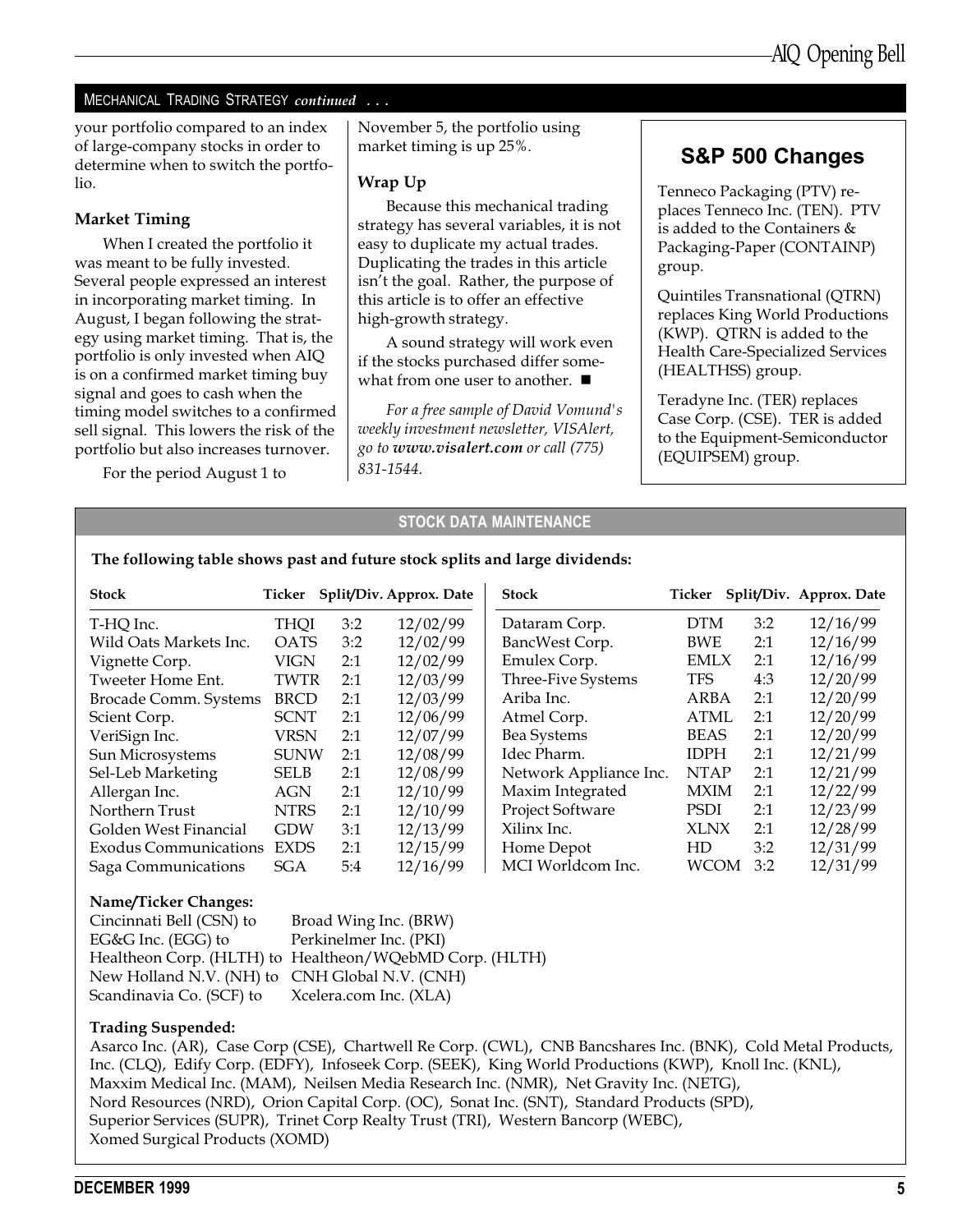#### MECHANICAL TRADING STRATEGY continued ...

your portfolio compared to an index of large-company stocks in order to determine when to switch the portfolio.

#### Market Timing

When I created the portfolio it was meant to be fully invested. Several people expressed an interest in incorporating market timing. In August, I began following the strategy using market timing. That is, the portfolio is only invested when AIQ is on a confirmed market timing buy signal and goes to cash when the timing model switches to a confirmed sell signal. This lowers the risk of the portfolio but also increases turnover.

For the period August 1 to

November 5, the portfolio using market timing is up 25%.

#### Wrap Up

Because this mechanical trading strategy has several variables, it is not easy to duplicate my actual trades. Duplicating the trades in this article isn't the goal. Rather, the purpose of this article is to offer an effective high-growth strategy.

A sound strategy will work even if the stocks purchased differ somewhat from one user to another.  $\blacksquare$ 

For a free sample of David Vomund's weekly investment newsletter, VISAlert, go to www.visalert.com or call (775) 831-1544.

### S&P 500 Changes

Tenneco Packaging (PTV) replaces Tenneco Inc. (TEN). PTV is added to the Containers & Packaging-Paper (CONTAINP) group.

Quintiles Transnational (QTRN) replaces King World Productions (KWP). QTRN is added to the Health Care-Specialized Services (HEALTHSS) group.

Teradyne Inc. (TER) replaces Case Corp. (CSE). TER is added to the Equipment-Semiconductor (EQUIPSEM) group.

#### STOCK DATA MAINTENANCE

The following table shows past and future stock splits and large dividends:

| <b>Stock</b>                 | Ticker      |     | Split/Div. Approx. Date | <b>Stock</b>           |             |     | Ticker Split/Div. Approx. Date |
|------------------------------|-------------|-----|-------------------------|------------------------|-------------|-----|--------------------------------|
| T-HQ Inc.                    | THOI        | 3:2 | 12/02/99                | Dataram Corp.          | <b>DTM</b>  | 3:2 | 12/16/99                       |
| Wild Oats Markets Inc.       | <b>OATS</b> | 3:2 | 12/02/99                | BancWest Corp.         | <b>BWE</b>  | 2:1 | 12/16/99                       |
| Vignette Corp.               | <b>VIGN</b> | 2:1 | 12/02/99                | Emulex Corp.           | EMLX        | 2:1 | 12/16/99                       |
| Tweeter Home Ent.            | TWTR        | 2:1 | 12/03/99                | Three-Five Systems     | <b>TFS</b>  | 4:3 | 12/20/99                       |
| Brocade Comm. Systems        | <b>BRCD</b> | 2:1 | 12/03/99                | Ariba Inc.             | ARBA        | 2:1 | 12/20/99                       |
| Scient Corp.                 | <b>SCNT</b> | 2:1 | 12/06/99                | Atmel Corp.            | ATML        | 2:1 | 12/20/99                       |
| VeriSign Inc.                | VRSN        | 2:1 | 12/07/99                | <b>Bea Systems</b>     | <b>BEAS</b> | 2:1 | 12/20/99                       |
| Sun Microsystems             | <b>SUNW</b> | 2:1 | 12/08/99                | Idec Pharm.            | <b>IDPH</b> | 2:1 | 12/21/99                       |
| Sel-Leb Marketing            | <b>SELB</b> | 2:1 | 12/08/99                | Network Appliance Inc. | <b>NTAP</b> | 2:1 | 12/21/99                       |
| Allergan Inc.                | AGN         | 2:1 | 12/10/99                | Maxim Integrated       | <b>MXIM</b> | 2:1 | 12/22/99                       |
| Northern Trust               | <b>NTRS</b> | 2:1 | 12/10/99                | Project Software       | <b>PSDI</b> | 2:1 | 12/23/99                       |
| Golden West Financial        | <b>GDW</b>  | 3:1 | 12/13/99                | Xilinx Inc.            | <b>XLNX</b> | 2:1 | 12/28/99                       |
| <b>Exodus Communications</b> | <b>EXDS</b> | 2:1 | 12/15/99                | Home Depot             | HD          | 3:2 | 12/31/99                       |
| Saga Communications          | SGA         | 5:4 | 12/16/99                | MCI Worldcom Inc.      | <b>WCOM</b> | 3:2 | 12/31/99                       |

#### Name/Ticker Changes:

Cincinnati Bell (CSN) to Broad Wing Inc. (BRW) EG&G Inc. (EGG) to Perkinelmer Inc. (PKI) Healtheon Corp. (HLTH) to Healtheon/WQebMD Corp. (HLTH) New Holland N.V. (NH) to CNH Global N.V. (CNH) Scandinavia Co. (SCF) to Xcelera.com Inc. (XLA)

#### Trading Suspended:

Asarco Inc. (AR), Case Corp (CSE), Chartwell Re Corp. (CWL), CNB Bancshares Inc. (BNK), Cold Metal Products, Inc. (CLQ), Edify Corp. (EDFY), Infoseek Corp. (SEEK), King World Productions (KWP), Knoll Inc. (KNL), Maxxim Medical Inc. (MAM), Neilsen Media Research Inc. (NMR), Net Gravity Inc. (NETG), Nord Resources (NRD), Orion Capital Corp. (OC), Sonat Inc. (SNT), Standard Products (SPD), Superior Services (SUPR), Trinet Corp Realty Trust (TRI), Western Bancorp (WEBC), Xomed Surgical Products (XOMD)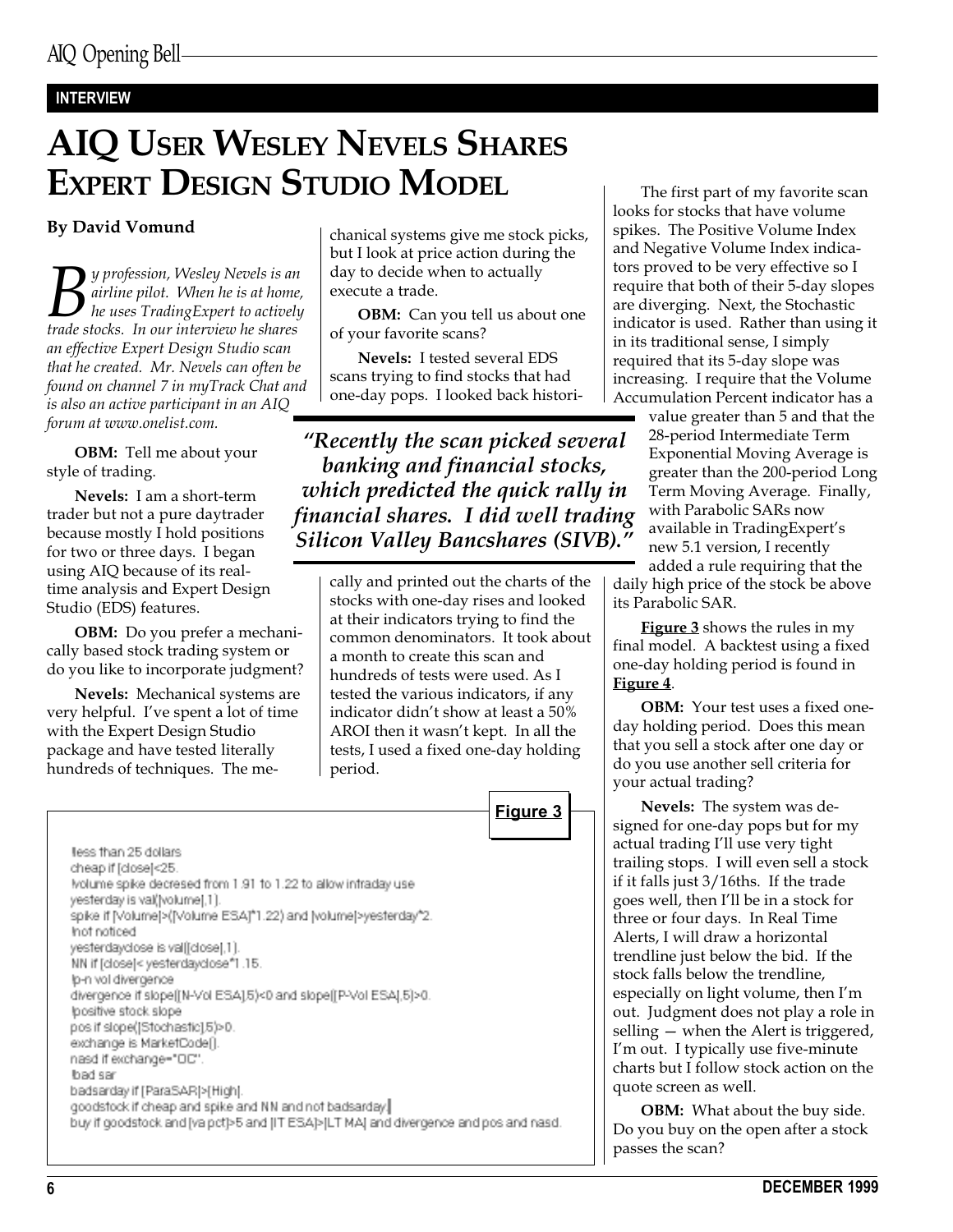#### INTERVIEW

# AIQ USER WESLEY NEVELS SHARES EXPERT DESIGN STUDIO MODEL

#### By David Vomund

**B** y profession, Wesley Nevels is an<br>he airline pilot. When he is at home<br>trade stocks. In our interview he shares airline pilot. When he is at home, he uses TradingExpert to actively trade stocks. In our interview he shares an effective Expert Design Studio scan that he created. Mr. Nevels can often be found on channel 7 in myTrack Chat and is also an active participant in an AIQ forum at www.onelist.com.

OBM: Tell me about your style of trading.

Nevels: I am a short-term trader but not a pure daytrader because mostly I hold positions for two or three days. I began using AIQ because of its realtime analysis and Expert Design Studio (EDS) features.

OBM: Do you prefer a mechanically based stock trading system or do you like to incorporate judgment?

Nevels: Mechanical systems are very helpful. Ive spent a lot of time with the Expert Design Studio package and have tested literally hundreds of techniques. The mechanical systems give me stock picks, but I look at price action during the day to decide when to actually execute a trade.

**OBM:** Can you tell us about one of your favorite scans?

Nevels: I tested several EDS scans trying to find stocks that had one-day pops. I looked back histori-

Recently the scan picked several banking and financial stocks, which predicted the quick rally in financial shares. I did well trading Silicon Valley Bancshares (SIVB).

> cally and printed out the charts of the stocks with one-day rises and looked at their indicators trying to find the common denominators. It took about a month to create this scan and hundreds of tests were used. As I tested the various indicators, if any indicator didn't show at least a 50% AROI then it wasn't kept. In all the tests, I used a fixed one-day holding period.



less than 25 dollars cheap if [close]<25. Ivolume spike decresed from 1.91 to 1.22 to allow infraday use yesterday is val(\volume),1). spike if [Volume]>([Volume ESA]\*1.22) and [volume]>yesterday\*2 Inot noticed yesterdayclose is valifclose[,1]. NN if [close]< yesterdaydose\*1.15. Ip-n vol divergence divergence if slope([N-Vol ESA].5)<0 and slope([P-Vol ESA].5)>0. lpositive stock slope pos if slope([Stochastic].5)>0. exchange is MarketCode(). nasd if exchange="DC". bad sar badsarday if [ParaSAR]>[High]. goodstock if cheap and spike and NN and not badsarday. buy if goodstock and [va.pct]>5 and [IT ESA]>[LT MA] and divergence and pos and nasd.

The first part of my favorite scan looks for stocks that have volume spikes. The Positive Volume Index and Negative Volume Index indicators proved to be very effective so I require that both of their 5-day slopes are diverging. Next, the Stochastic indicator is used. Rather than using it in its traditional sense, I simply required that its 5-day slope was increasing. I require that the Volume Accumulation Percent indicator has a

> value greater than 5 and that the 28-period Intermediate Term Exponential Moving Average is greater than the 200-period Long Term Moving Average. Finally, with Parabolic SARs now available in TradingExpert's new 5.1 version, I recently

added a rule requiring that the daily high price of the stock be above its Parabolic SAR.

Figure 3 shows the rules in my final model. A backtest using a fixed one-day holding period is found in Figure 4.

OBM: Your test uses a fixed oneday holding period. Does this mean that you sell a stock after one day or do you use another sell criteria for your actual trading?

Nevels: The system was designed for one-day pops but for my actual trading I'll use very tight trailing stops. I will even sell a stock if it falls just 3/16ths. If the trade goes well, then I'll be in a stock for three or four days. In Real Time Alerts, I will draw a horizontal trendline just below the bid. If the stock falls below the trendline, especially on light volume, then I'm out. Judgment does not play a role in selling  $-$  when the Alert is triggered, I'm out. I typically use five-minute charts but I follow stock action on the quote screen as well.

**OBM:** What about the buy side. Do you buy on the open after a stock passes the scan?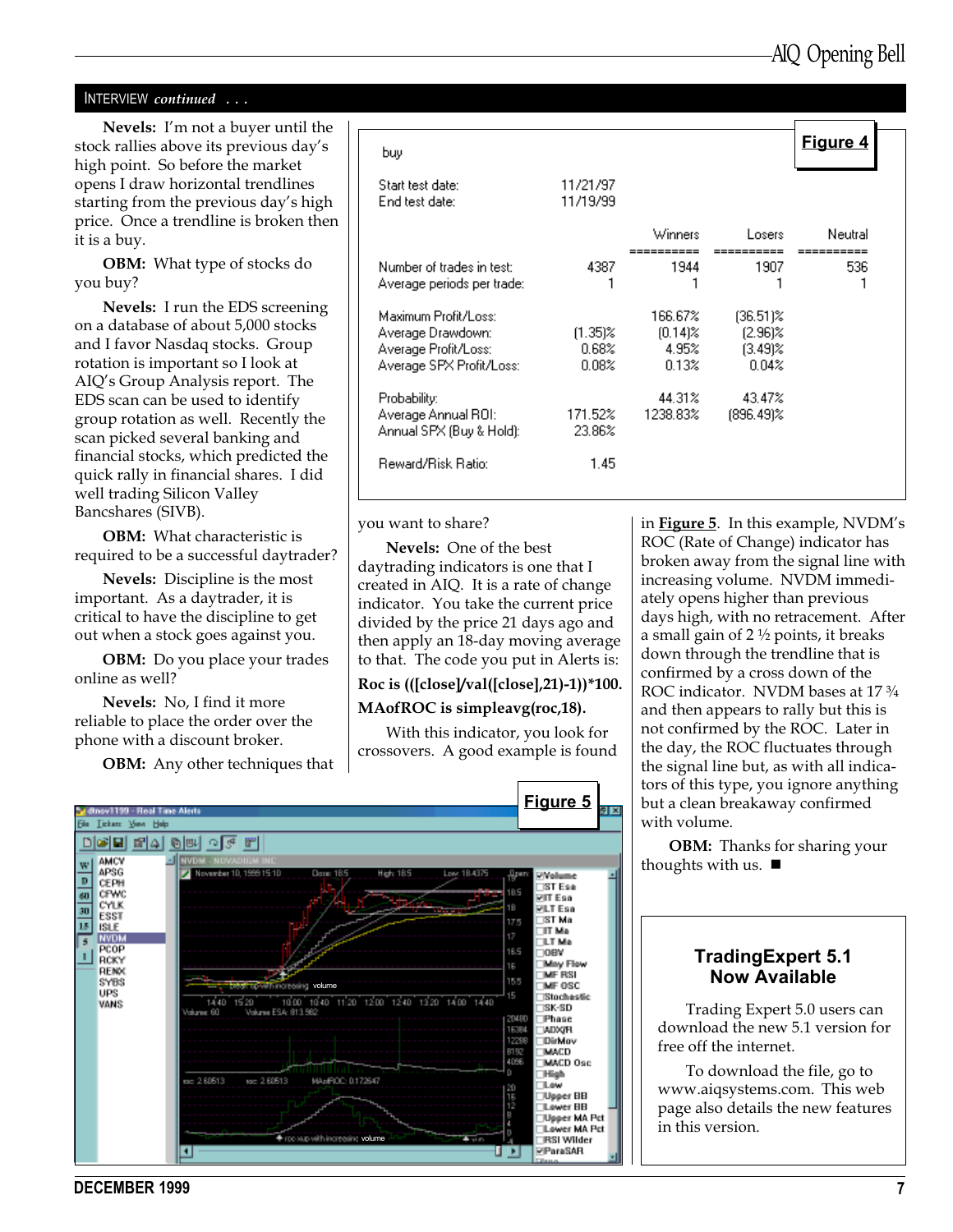#### INTERVIEW continued . . .

Nevels: I'm not a buyer until the stock rallies above its previous day's high point. So before the market opens I draw horizontal trendlines starting from the previous day's high price. Once a trendline is broken then it is a buy.

OBM: What type of stocks do you buy?

Nevels: I run the EDS screening on a database of about 5,000 stocks and I favor Nasdaq stocks. Group rotation is important so I look at AIQ's Group Analysis report. The EDS scan can be used to identify group rotation as well. Recently the scan picked several banking and financial stocks, which predicted the quick rally in financial shares. I did well trading Silicon Valley Bancshares (SIVB).

OBM: What characteristic is required to be a successful daytrader?

Nevels: Discipline is the most important. As a daytrader, it is critical to have the discipline to get out when a stock goes against you.

OBM: Do you place your trades online as well?

Nevels: No, I find it more reliable to place the order over the phone with a discount broker.

**OBM:** Any other techniques that

| buy                                |                      |            |              | Figure 4 |
|------------------------------------|----------------------|------------|--------------|----------|
| Start test date:<br>End test date: | 11/21/97<br>11/19/99 |            |              |          |
|                                    |                      | Winners    | Losers       | Neutral  |
| Number of trades in test:          | 4387                 | 1944       | 1907         | 536      |
| Average periods per trade:         |                      |            |              |          |
| Maximum Profit/Loss:               |                      | 166.67%    | $(36.51)\%$  |          |
| Average Drawdown:                  | $(1.35)\%$           | $(0.14)$ % | $(2.96)$ %   |          |
| Average Profit/Loss:               | 0.68%                | 4.95%      | $(3.49)$ %   |          |
| Average SPX Profit/Loss:           | 0.08%                | 0.13%      | 0.04%        |          |
| Probability:                       |                      | 44.31%     | 43.47%       |          |
| Average Annual ROI:                | 171.52%              | 1238.83%   | $(896.49)\%$ |          |
| Annual SPX (Buy & Hold):           | 23.86%               |            |              |          |
| Reward/Risk Ratio:                 | 1.45                 |            |              |          |

you want to share?

Nevels: One of the best daytrading indicators is one that I created in AIQ. It is a rate of change indicator. You take the current price divided by the price 21 days ago and then apply an 18-day moving average to that. The code you put in Alerts is:

#### Roc is (([close]/val([close],21)-1))\*100.

#### MAofROC is simpleavg(roc,18).

With this indicator, you look for crossovers. A good example is found



in **Figure 5**. In this example, NVDM's ROC (Rate of Change) indicator has broken away from the signal line with increasing volume. NVDM immediately opens higher than previous days high, with no retracement. After a small gain of 2 ½ points, it breaks down through the trendline that is confirmed by a cross down of the ROC indicator. NVDM bases at 17 $\frac{3}{4}$ and then appears to rally but this is not confirmed by the ROC. Later in the day, the ROC fluctuates through the signal line but, as with all indicators of this type, you ignore anything but a clean breakaway confirmed with volume.

OBM: Thanks for sharing your thoughts with us.  $\blacksquare$ 

#### TradingExpert 5.1 Now Available

Trading Expert 5.0 users can download the new 5.1 version for free off the internet.

To download the file, go to www.aiqsystems.com. This web page also details the new features in this version.